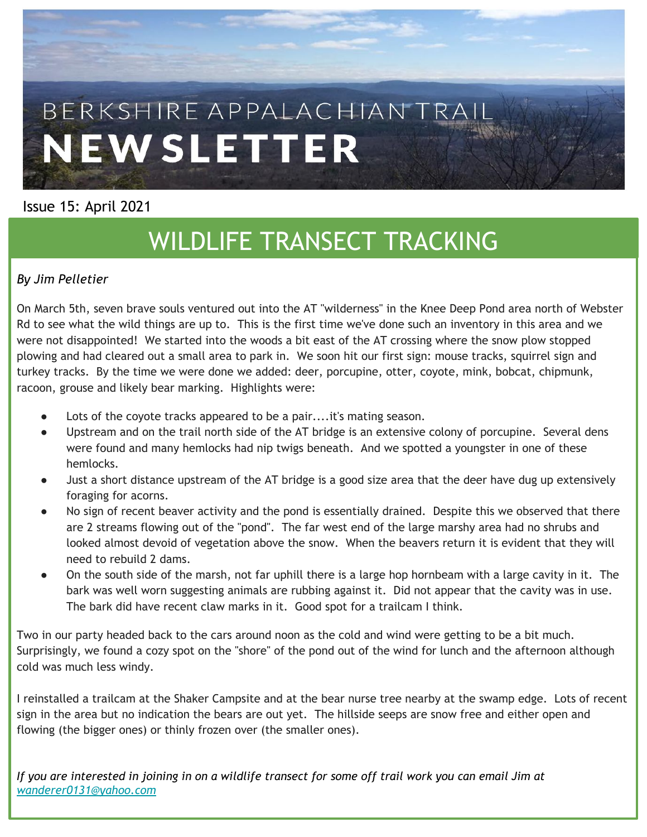

#### Issue 15: April 2021

# WILDLIFE TRANSECT TRACKING

#### *By Jim Pelletier*

On March 5th, seven brave souls ventured out into the AT "wilderness" in the Knee Deep Pond area north of Webster Rd to see what the wild things are up to. This is the first time we've done such an inventory in this area and we were not disappointed! We started into the woods a bit east of the AT crossing where the snow plow stopped plowing and had cleared out a small area to park in. We soon hit our first sign: mouse tracks, squirrel sign and turkey tracks. By the time we were done we added: deer, porcupine, otter, coyote, mink, bobcat, chipmunk, racoon, grouse and likely bear marking. Highlights were:

- Lots of the covote tracks appeared to be a pair....it's mating season.
- Upstream and on the trail north side of the AT bridge is an extensive colony of porcupine. Several dens were found and many hemlocks had nip twigs beneath. And we spotted a youngster in one of these hemlocks.
- Just a short distance upstream of the AT bridge is a good size area that the deer have dug up extensively foraging for acorns.
- No sign of recent beaver activity and the pond is essentially drained. Despite this we observed that there are 2 streams flowing out of the "pond". The far west end of the large marshy area had no shrubs and looked almost devoid of vegetation above the snow. When the beavers return it is evident that they will need to rebuild 2 dams.
- On the south side of the marsh, not far uphill there is a large hop hornbeam with a large cavity in it. The bark was well worn suggesting animals are rubbing against it. Did not appear that the cavity was in use. The bark did have recent claw marks in it. Good spot for a trailcam I think.

Two in our party headed back to the cars around noon as the cold and wind were getting to be a bit much. Surprisingly, we found a cozy spot on the "shore" of the pond out of the wind for lunch and the afternoon although cold was much less windy.

I reinstalled a trailcam at the Shaker Campsite and at the bear nurse tree nearby at the swamp edge. Lots of recent sign in the area but no indication the bears are out yet. The hillside seeps are snow free and either open and flowing (the bigger ones) or thinly frozen over (the smaller ones).

*If you are interested in joining in on a wildlife transect for some off trail work you can email Jim at [wanderer0131@yahoo.com](mailto:wanderer0131@yahoo.com)*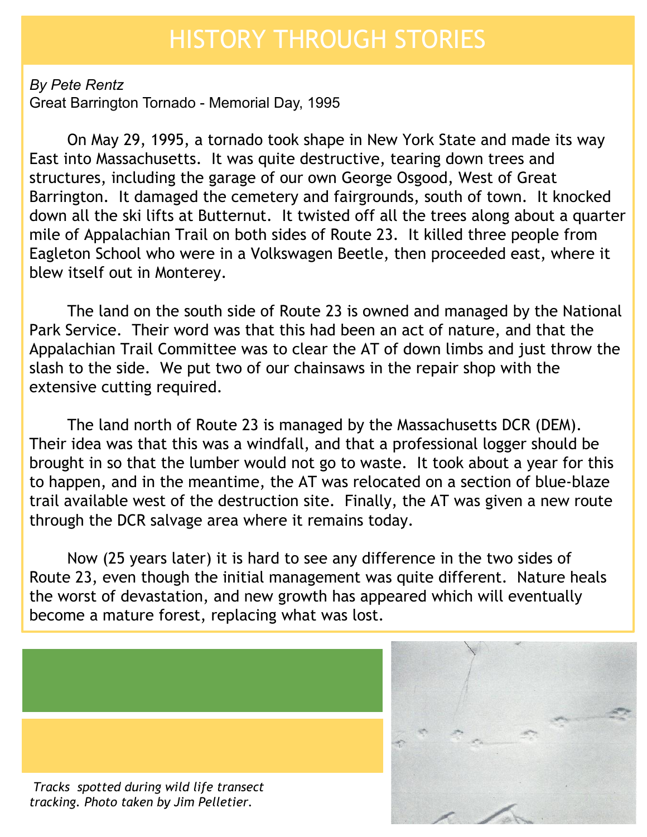#### HISTORY THROUGH STORIES

*By Pete Rentz* Great Barrington Tornado - Memorial Day, 1995

On May 29, 1995, a tornado took shape in New York State and made its way East into Massachusetts. It was quite destructive, tearing down trees and structures, including the garage of our own George Osgood, West of Great Barrington. It damaged the cemetery and fairgrounds, south of town. It knocked down all the ski lifts at Butternut. It twisted off all the trees along about a quarter mile of Appalachian Trail on both sides of Route 23. It killed three people from Eagleton School who were in a Volkswagen Beetle, then proceeded east, where it blew itself out in Monterey.

The land on the south side of Route 23 is owned and managed by the National Park Service. Their word was that this had been an act of nature, and that the Appalachian Trail Committee was to clear the AT of down limbs and just throw the slash to the side. We put two of our chainsaws in the repair shop with the extensive cutting required.

The land north of Route 23 is managed by the Massachusetts DCR (DEM). Their idea was that this was a windfall, and that a professional logger should be brought in so that the lumber would not go to waste. It took about a year for this to happen, and in the meantime, the AT was relocated on a section of blue-blaze trail available west of the destruction site. Finally, the AT was given a new route through the DCR salvage area where it remains today.

Now (25 years later) it is hard to see any difference in the two sides of Route 23, even though the initial management was quite different. Nature heals the worst of devastation, and new growth has appeared which will eventually become a mature forest, replacing what was lost.



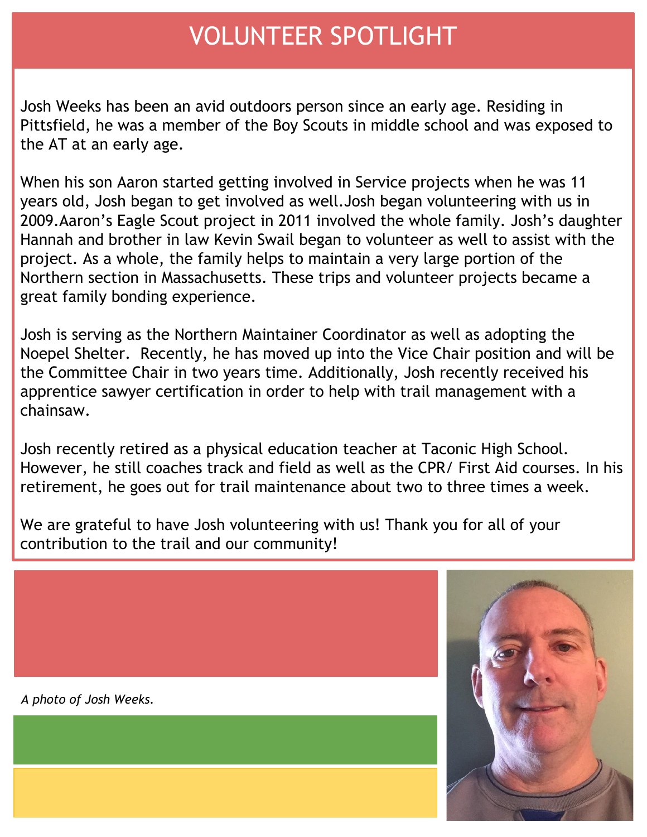### VOLUNTEER SPOTLIGHT

Josh Weeks has been an avid outdoors person since an early age. Residing in Pittsfield, he was a member of the Boy Scouts in middle school and was exposed to the AT at an early age.

When his son Aaron started getting involved in Service projects when he was 11 years old, Josh began to get involved as well.Josh began volunteering with us in 2009.Aaron's Eagle Scout project in 2011 involved the whole family. Josh's daughter Hannah and brother in law Kevin Swail began to volunteer as well to assist with the project. As a whole, the family helps to maintain a very large portion of the Northern section in Massachusetts. These trips and volunteer projects became a great family bonding experience.

Josh is serving as the Northern Maintainer Coordinator as well as adopting the Noepel Shelter. Recently, he has moved up into the Vice Chair position and will be the Committee Chair in two years time. Additionally, Josh recently received his apprentice sawyer certification in order to help with trail management with a chainsaw.

Josh recently retired as a physical education teacher at Taconic High School. However, he still coaches track and field as well as the CPR/ First Aid courses. In his retirement, he goes out for trail maintenance about two to three times a week.

We are grateful to have Josh volunteering with us! Thank you for all of your contribution to the trail and our community!

*A photo of Josh Weeks.* 

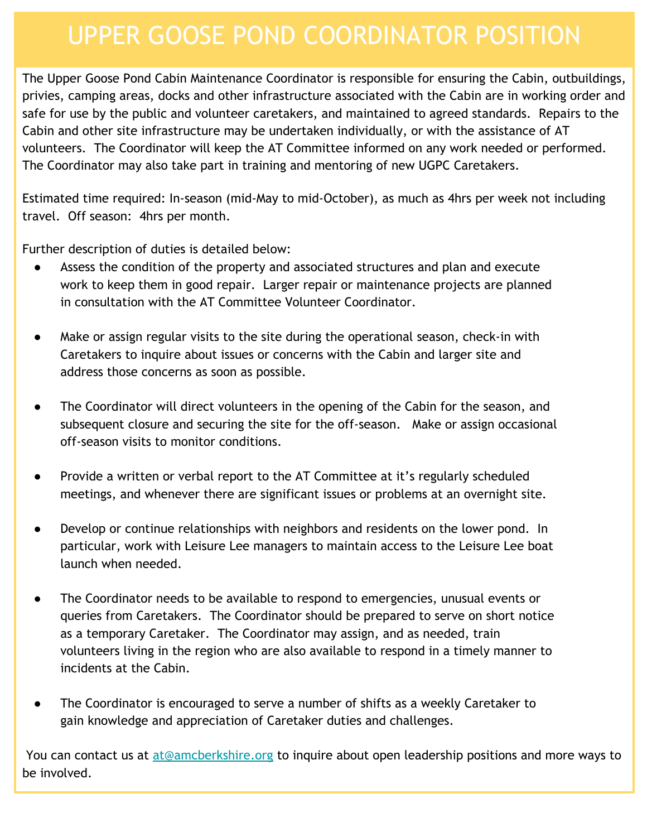#### UPPER GOOSE POND COORDINATOR POSITION

The Upper Goose Pond Cabin Maintenance Coordinator is responsible for ensuring the Cabin, outbuildings, privies, camping areas, docks and other infrastructure associated with the Cabin are in working order and safe for use by the public and volunteer caretakers, and maintained to agreed standards. Repairs to the Cabin and other site infrastructure may be undertaken individually, or with the assistance of AT volunteers. The Coordinator will keep the AT Committee informed on any work needed or performed. The Coordinator may also take part in training and mentoring of new UGPC Caretakers.

Estimated time required: In-season (mid-May to mid-October), as much as 4hrs per week not including travel. Off season: 4hrs per month.

Further description of duties is detailed below:

- Assess the condition of the property and associated structures and plan and execute work to keep them in good repair. Larger repair or maintenance projects are planned in consultation with the AT Committee Volunteer Coordinator.
- Make or assign regular visits to the site during the operational season, check-in with Caretakers to inquire about issues or concerns with the Cabin and larger site and address those concerns as soon as possible.
- The Coordinator will direct volunteers in the opening of the Cabin for the season, and subsequent closure and securing the site for the off-season. Make or assign occasional off-season visits to monitor conditions.
- Provide a written or verbal report to the AT Committee at it's regularly scheduled meetings, and whenever there are significant issues or problems at an overnight site.
- Develop or continue relationships with neighbors and residents on the lower pond. In particular, work with Leisure Lee managers to maintain access to the Leisure Lee boat launch when needed.
- The Coordinator needs to be available to respond to emergencies, unusual events or queries from Caretakers. The Coordinator should be prepared to serve on short notice as a temporary Caretaker. The Coordinator may assign, and as needed, train volunteers living in the region who are also available to respond in a timely manner to incidents at the Cabin.
- The Coordinator is encouraged to serve a number of shifts as a weekly Caretaker to gain knowledge and appreciation of Caretaker duties and challenges.

You can contact us at [at@amcberkshire.org](mailto:at@amcberkshire.org) to inquire about open leadership positions and more ways to be involved.